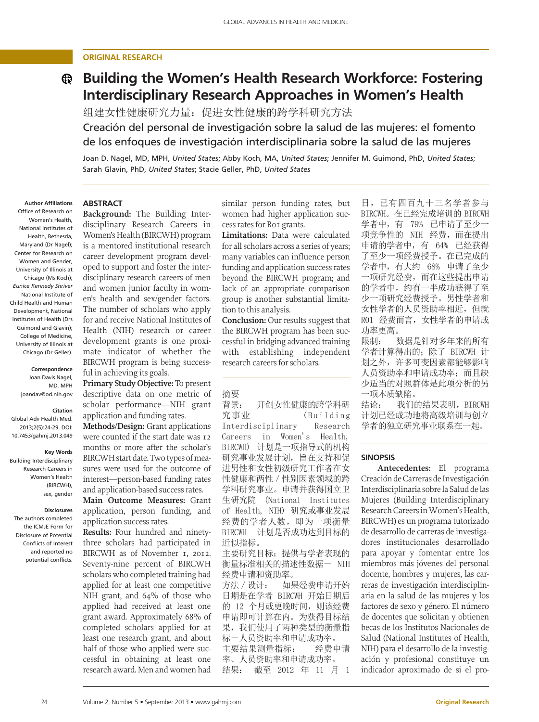# **original research**

# **Building the Women's Health Research Workforce: Fostering Interdisciplinary Research Approaches in Women's Health**

组建女性健康研究力量:促进女性健康的跨学科研究方法 Creación del personal de investigación sobre la salud de las mujeres: el fomento de los enfoques de investigación interdisciplinaria sobre la salud de las mujeres

Joan D. Nagel, MD, MPH, *United States*; Abby Koch, MA, *United States*; Jennifer M. Guimond, PhD, *United States*; Sarah Glavin, PhD, *United States*; Stacie Geller, PhD, *United States*

#### **Author Affiliations** Office of Research on Women's Health, National Institutes of Health, Bethesda, Maryland (Dr Nagel); Center for Research on Women and Gender, University of Illinois at Chicago (Ms Koch); *Eunice Kennedy Shriver* National Institute of Child Health and Human Development, National Institutes of Health (Drs Guimond and Glavin); College of Medicine, University of Illinois at Chicago (Dr Geller).

**Correspondence**  Joan Davis Nagel, MD, MPH joandav@od.nih.gov

# **Citation**

Global Adv Health Med. 2013;2(5):24-29. DOI: 10.7453/gahmj.2013.049

#### **Key Words**

Building Interdisciplinary Research Careers in Women's Health (BIRCWH), sex, gender

#### **Disclosures**

The authors completed the ICMJE Form for Disclosure of Potential Conflicts of Interest and reported no potential conflicts.

# **Abstract**

**Background:** The Building Interdisciplinary Research Careers in Women's Health (BIRCWH) program is a mentored institutional research career development program developed to support and foster the interdisciplinary research careers of men and women junior faculty in women's health and sex/gender factors. The number of scholars who apply for and receive National Institutes of Health (NIH) research or career development grants is one proximate indicator of whether the BIRCWH program is being successful in achieving its goals.

**Primary Study Objective:** To present descriptive data on one metric of scholar performance—NIH grant application and funding rates.

**Methods/Design:** Grant applications were counted if the start date was 12 months or more after the scholar's BIRCWH start date. Two types of measures were used for the outcome of interest—person-based funding rates and application-based success rates.

**Main Outcome Measures:** Grant application, person funding, and application success rates.

**Results:** Four hundred and ninetythree scholars had participated in BIRCWH as of November 1, 2012. Seventy-nine percent of BIRCWH scholars who completed training had applied for at least one competitive NIH grant, and 64% of those who applied had received at least one grant award. Approximately 68% of completed scholars applied for at least one research grant, and about half of those who applied were successful in obtaining at least one research award. Men and women had

similar person funding rates, but women had higher application success rates for R01 grants.

**Limitations:** Data were calculated for all scholars across a series of years; many variables can influence person funding and application success rates beyond the BIRCWH program; and lack of an appropriate comparison group is another substantial limitation to this analysis.

**Conclusion:** Our results suggest that the BIRCWH program has been successful in bridging advanced training with establishing independent research careers for scholars.

#### 摘要

背景: 开创女性健康的跨学科研  $\mathcal{R}$ 事业 (Building Interdisciplinary Research Careers in Women's Health, BIRCWH) 计划是一项指导式的机构 研究事业发展计划,旨在支持和促 进男性和女性初级研究工作者在女 性健康和两性/性别因素领域的跨 学科研究事业。申请并获得国立卫 生研究院 (National Institutes of Health, NIH) 研究或事业发展 经费的学者人数,即为一项衡量 BIRCWH 计划是否成功达到目标的 近似指标。

主要研究目标: 提供与学者表现的 衡量标准相关的描述性数据- NIH 经费申请和资助率。

方法 / 设计: 如果经费申请开始 日期是在学者 BIRCWH 开始日期后 的 12 个月或更晚时间,则该经费 申请即可计算在内。为获得目标结 果,我们使用了两种类型的衡量指 标-人员资助率和申请成功率。 主要结果测量指标: 经费申请 率、人员资助率和申请成功率。 结果: 截至 2012 年 11 月 1

日,已有四百九十三名学者参与 BIRCWH。在已经完成培训的 BIRCWH 学者中,有 79% 已申请了至少一 项竞争性的 NIH 经费,而在提出 申请的学者中,有 64% 已经获得 了至少一项经费授予。在已完成的 学者中,有大约 68% 申请了至少 一项研究经费,而在这些提出申请 的学者中,约有一半成功获得了至 少一项研究经费授予。男性学者和 女性学者的人员资助率相近,但就 R01 经费而言,女性学者的申请成 功率更高。

限制: 数据是针对多年来的所有 学者计算得出的;除了 BIRCWH 计 划之外,许多可变因素都能够影响 人员资助率和申请成功率;而且缺 少适当的对照群体是此项分析的另 一项本质缺陷。

结论: 我们的结果表明, BIRCWH 计划已经成功地将高级培训与创立 学者的独立研究事业联系在一起。

#### **Sinopsis**

**Antecedentes:** El programa Creación de Carreras de Investigación Interdisciplinaria sobre la Salud de las Mujeres (Building Interdisciplinary Research Careers in Women's Health, BIRCWH) es un programa tutorizado de desarrollo de carreras de investigadores institucionales desarrollado para apoyar y fomentar entre los miembros más jóvenes del personal docente, hombres y mujeres, las carreras de investigación interdisciplinaria en la salud de las mujeres y los factores de sexo y género. El número de docentes que solicitan y obtienen becas de los Institutos Nacionales de Salud (National Institutes of Health, NIH) para el desarrollo de la investigación y profesional constituye un indicador aproximado de si el pro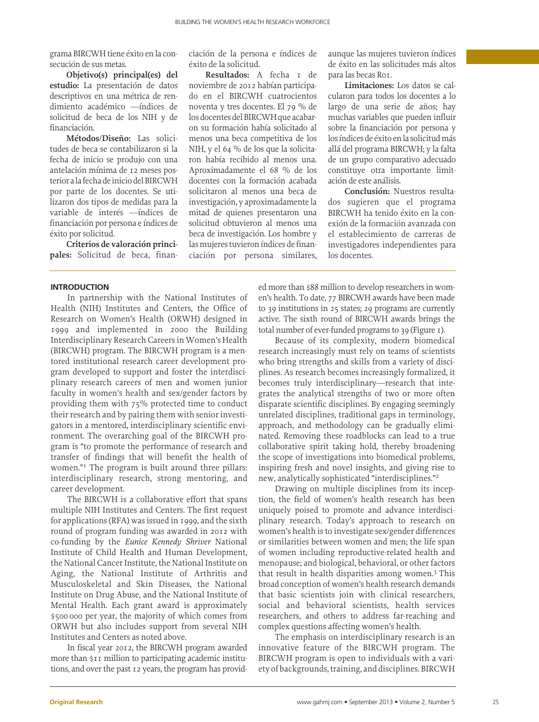grama BIRCWH tiene éxito en la consecución de sus metas.

**Objetivo(s) principal(es) del estudio:** La presentación de datos descriptivos en una métrica de rendimiento académico —índices de solicitud de beca de los NIH y de financiación.

**Métodos/Diseño:** Las solicitudes de beca se contabilizaron si la fecha de inicio se produjo con una antelación mínima de 12 meses posterior a la fecha de inicio del BIRCWH por parte de los docentes. Se utilizaron dos tipos de medidas para la variable de interés —índices de financiación por persona e índices de éxito por solicitud.

**Criterios de valoración principales:** Solicitud de beca, finan-

## **Introduction**

In partnership with the National Institutes of Health (NIH) Institutes and Centers, the Office of Research on Women's Health (ORWH) designed in 1999 and implemented in 2000 the Building Interdisciplinary Research Careers in Women's Health (BIRCWH) program. The BIRCWH program is a mentored institutional research career development program developed to support and foster the interdisciplinary research careers of men and women junior faculty in women's health and sex/gender factors by providing them with 75% protected time to conduct their research and by pairing them with senior investigators in a mentored, interdisciplinary scientific environment. The overarching goal of the BIRCWH program is "to promote the performance of research and transfer of findings that will benefit the health of women."1 The program is built around three pillars: interdisciplinary research, strong mentoring, and career development.

The BIRCWH is a collaborative effort that spans multiple NIH Institutes and Centers. The first request for applications (RFA) was issued in 1999, and the sixth round of program funding was awarded in 2012 with co-funding by the *Eunice Kennedy Shriver* National Institute of Child Health and Human Development, the National Cancer Institute, the National Institute on Aging, the National Institute of Arthritis and Musculoskeletal and Skin Diseases, the National Institute on Drug Abuse, and the National Institute of Mental Health. Each grant award is approximately \$500 000 per year, the majority of which comes from ORWH but also includes support from several NIH Institutes and Centers as noted above.

In fiscal year 2012, the BIRCWH program awarded more than \$11 million to participating academic institutions, and over the past 12 years, the program has provid-

ciación de la persona e índices de éxito de la solicitud.

**Resultados:** A fecha 1 de noviembre de 2012 habían participado en el BIRCWH cuatrocientos noventa y tres docentes. El 79 % de los docentes del BIRCWH que acabaron su formación había solicitado al menos una beca competitiva de los NIH, y el 64 % de los que la solicitaron había recibido al menos una. Aproximadamente el 68 % de los docentes con la formación acabada solicitaron al menos una beca de investigación, y aproximadamente la mitad de quienes presentaron una solicitud obtuvieron al menos una beca de investigación. Los hombre y las mujeres tuvieron índices de financiación por persona similares, aunque las mujeres tuvieron índices de éxito en las solicitudes más altos para las becas R01.

**Limitaciones:** Los datos se calcularon para todos los docentes a lo largo de una serie de años; hay muchas variables que pueden influir sobre la financiación por persona y los índices de éxito en la solicitud más allá del programa BIRCWH; y la falta de un grupo comparativo adecuado constituye otra importante limitación de este análisis.

**Conclusión:** Nuestros resultados sugieren que el programa BIRCWH ha tenido éxito en la conexión de la formación avanzada con el establecimiento de carreras de investigadores independientes para los docentes.

ed more than \$88 million to develop researchers in women's health. To date, 77 BIRCWH awards have been made to 39 institutions in 25 states; 29 programs are currently active. The sixth round of BIRCWH awards brings the total number of ever-funded programs to 39 (Figure 1).

Because of its complexity, modern biomedical research increasingly must rely on teams of scientists who bring strengths and skills from a variety of disciplines. As research becomes increasingly formalized, it becomes truly interdisciplinary—research that integrates the analytical strengths of two or more often disparate scientific disciplines. By engaging seemingly unrelated disciplines, traditional gaps in terminology, approach, and methodology can be gradually eliminated. Removing these roadblocks can lead to a true collaborative spirit taking hold, thereby broadening the scope of investigations into biomedical problems, inspiring fresh and novel insights, and giving rise to new, analytically sophisticated "interdisciplines."2

Drawing on multiple disciplines from its inception, the field of women's health research has been uniquely poised to promote and advance interdisciplinary research. Today's approach to research on women's health is to investigate sex/gender differences or similarities between women and men; the life span of women including reproductive-related health and menopause; and biological, behavioral, or other factors that result in health disparities among women.3 This broad conception of women's health research demands that basic scientists join with clinical researchers, social and behavioral scientists, health services researchers, and others to address far-reaching and complex questions affecting women's health.

The emphasis on interdisciplinary research is an innovative feature of the BIRCWH program. The BIRCWH program is open to individuals with a variety of backgrounds, training, and disciplines. BIRCWH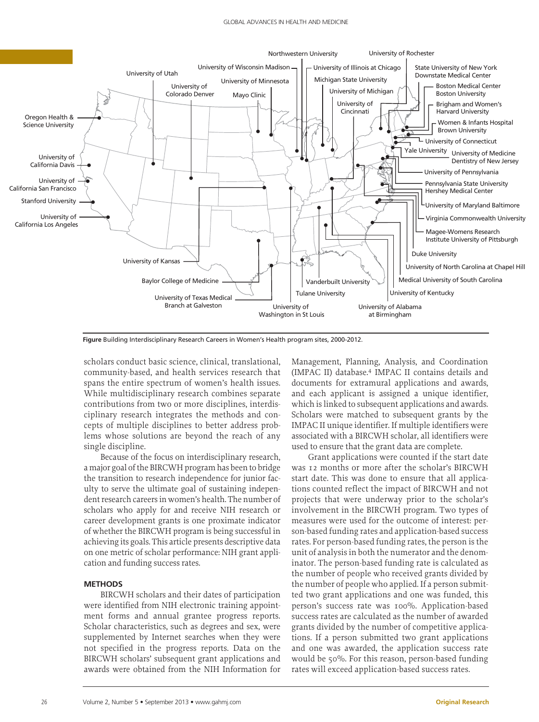

**Figure** Building Interdisciplinary Research Careers in Women's Health program sites, 2000-2012.

scholars conduct basic science, clinical, translational, community-based, and health services research that spans the entire spectrum of women's health issues. While multidisciplinary research combines separate contributions from two or more disciplines, interdisciplinary research integrates the methods and concepts of multiple disciplines to better address problems whose solutions are beyond the reach of any single discipline.

Because of the focus on interdisciplinary research, a major goal of the BIRCWH program has been to bridge the transition to research independence for junior faculty to serve the ultimate goal of sustaining independent research careers in women's health. The number of scholars who apply for and receive NIH research or career development grants is one proximate indicator of whether the BIRCWH program is being successful in achieving its goals. This article presents descriptive data on one metric of scholar performance: NIH grant application and funding success rates.

### **Methods**

BIRCWH scholars and their dates of participation were identified from NIH electronic training appointment forms and annual grantee progress reports. Scholar characteristics, such as degrees and sex, were supplemented by Internet searches when they were not specified in the progress reports. Data on the BIRCWH scholars' subsequent grant applications and awards were obtained from the NIH Information for Management, Planning, Analysis, and Coordination (IMPAC II) database.4 IMPAC II contains details and documents for extramural applications and awards, and each applicant is assigned a unique identifier, which is linked to subsequent applications and awards. Scholars were matched to subsequent grants by the IMPAC II unique identifier. If multiple identifiers were associated with a BIRCWH scholar, all identifiers were used to ensure that the grant data are complete.

Grant applications were counted if the start date was 12 months or more after the scholar's BIRCWH start date. This was done to ensure that all applications counted reflect the impact of BIRCWH and not projects that were underway prior to the scholar's involvement in the BIRCWH program. Two types of measures were used for the outcome of interest: person-based funding rates and application-based success rates. For person-based funding rates, the person is the unit of analysis in both the numerator and the denominator. The person-based funding rate is calculated as the number of people who received grants divided by the number of people who applied. If a person submitted two grant applications and one was funded, this person's success rate was 100%. Application-based success rates are calculated as the number of awarded grants divided by the number of competitive applications. If a person submitted two grant applications and one was awarded, the application success rate would be 50%. For this reason, person-based funding rates will exceed application-based success rates.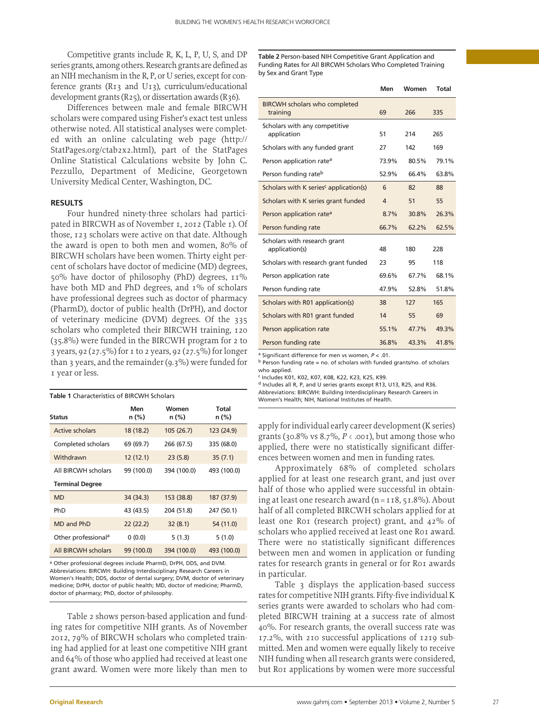Competitive grants include R, K, L, P, U, S, and DP series grants, among others. Research grants are defined as an NIH mechanism in the R, P, or U series, except for conference grants (R13 and U13), curriculum/educational development grants (R25), or dissertation awards (R36).

Differences between male and female BIRCWH scholars were compared using Fisher's exact test unless otherwise noted. All statistical analyses were completed with an online calculating web page (http:// StatPages.org/ctab2x2.html), part of the StatPages Online Statistical Calculations website by John C. Pezzullo, Department of Medicine, Georgetown University Medical Center, Washington, DC.

# **Results**

Four hundred ninety-three scholars had participated in BIRCWH as of November 1, 2012 (Table 1). Of those, 123 scholars were active on that date. Although the award is open to both men and women, 80% of BIRCWH scholars have been women. Thirty eight percent of scholars have doctor of medicine (MD) degrees, 50% have doctor of philosophy (PhD) degrees, 11% have both MD and PhD degrees, and 1% of scholars have professional degrees such as doctor of pharmacy (PharmD), doctor of public health (DrPH), and doctor of veterinary medicine (DVM) degrees. Of the 335 scholars who completed their BIRCWH training, 120 (35.8%) were funded in the BIRCWH program for 2 to 3 years, 92 (27.5%) for 1 to 2 years, 92 (27.5%) for longer than 3 years, and the remainder (9.3%) were funded for 1 year or less.

| <b>Status</b>                   | Men<br>n (%) | Women<br>n (%) | Total<br>n (%) |
|---------------------------------|--------------|----------------|----------------|
| Active scholars                 | 18 (18.2)    | 105 (26.7)     | 123 (24.9)     |
| Completed scholars              | 69 (69.7)    | 266 (67.5)     | 335 (68.0)     |
| Withdrawn                       | 12(12.1)     | 23(5.8)        | 35(7.1)        |
| All BIRCWH scholars             | 99 (100.0)   | 394 (100.0)    | 493 (100.0)    |
| <b>Terminal Degree</b>          |              |                |                |
| <b>MD</b>                       | 34 (34.3)    | 153 (38.8)     | 187 (37.9)     |
| PhD                             | 43 (43.5)    | 204 (51.8)     | 247 (50.1)     |
| MD and PhD                      | 22(22.2)     | 32(8.1)        | 54 (11.0)      |
| Other professional <sup>a</sup> | 0(0.0)       | 5(1.3)         | 5(1.0)         |
| All BIRCWH scholars             | 99 (100.0)   | 394 (100.0)    | 493 (100.0)    |

a Other professional degrees include PharmD, DrPH, DDS, and DVM. Abbreviations: BIRCWH: Building Interdisciplinary Research Careers in Women's Health; DDS, doctor of dental surgery; DVM, doctor of veterinary medicine; DrPH, doctor of public health; MD, doctor of medicine; PharmD, doctor of pharmacy; PhD, doctor of philosophy.

Table 2 shows person-based application and funding rates for competitive NIH grants. As of November 2012, 79% of BIRCWH scholars who completed training had applied for at least one competitive NIH grant and 64% of those who applied had received at least one grant award. Women were more likely than men to

**Table 2** Person-based NIH Competitive Grant Application and Funding Rates for All BIRCWH Scholars Who Completed Training by Sex and Grant Type

|                                                    | Men            | Women | <b>Total</b> |
|----------------------------------------------------|----------------|-------|--------------|
| <b>BIRCWH scholars who completed</b><br>training   | 69             | 266   | 335          |
| Scholars with any competitive<br>application       | 51             | 214   | 265          |
| Scholars with any funded grant                     | 27             | 142   | 169          |
| Person application rate <sup>a</sup>               | 73.9%          | 80.5% | 79.1%        |
| Person funding rate <sup>b</sup>                   | 52.9%          | 66.4% | 63.8%        |
| Scholars with K series <sup>c</sup> application(s) | 6              | 82    | 88           |
| Scholars with K series grant funded                | $\overline{4}$ | 51    | 55           |
| Person application rate <sup>a</sup>               | 8.7%           | 30.8% | 26.3%        |
| Person funding rate                                | 66.7%          | 62.2% | 62.5%        |
| Scholars with research grant<br>application(s)     | 48             | 180   | 228          |
| Scholars with research grant funded                | 23             | 95    | 118          |
| Person application rate                            | 69.6%          | 67.7% | 68.1%        |
| Person funding rate                                | 47.9%          | 52.8% | 51.8%        |
| Scholars with R01 application(s)                   | 38             | 127   | 165          |
| Scholars with R01 grant funded                     | 14             | 55    | 69           |
| Person application rate                            | 55.1%          | 47.7% | 49.3%        |
| Person funding rate                                | 36.8%          | 43.3% | 41.8%        |

a Significant difference for men vs women, *P* < .01.

 $<sup>b</sup>$  Person funding rate = no. of scholars with funded grants/no. of scholars</sup> who applied.

c Includes K01, K02, K07, K08, K22, K23, K25, K99.

d Includes all R, P, and U series grants except R13, U13, R25, and R36. Abbreviations: BIRCWH: Building Interdisciplinary Research Careers in Abbreviations: BIRCWIH Scholars<br>Women's Health; NIH, National Institutes of Health

> apply for individual early career development (K series) grants (30.8% vs  $8.7\%$ ,  $P \leftarrow$  .001), but among those who applied, there were no statistically significant differences between women and men in funding rates.

> Approximately 68% of completed scholars applied for at least one research grant, and just over half of those who applied were successful in obtaining at least one research award ( $n=$  118, 51.8%). About half of all completed BIRCWH scholars applied for at least one R01 (research project) grant, and 42% of scholars who applied received at least one Ro1 award. There were no statistically significant differences between men and women in application or funding rates for research grants in general or for R01 awards in particular.

> Table 3 displays the application-based success rates for competitive NIH grants. Fifty-five individual K series grants were awarded to scholars who had completed BIRCWH training at a success rate of almost 40%. For research grants, the overall success rate was 17.2%, with 210 successful applications of 1219 submitted. Men and women were equally likely to receive NIH funding when all research grants were considered, but R01 applications by women were more successful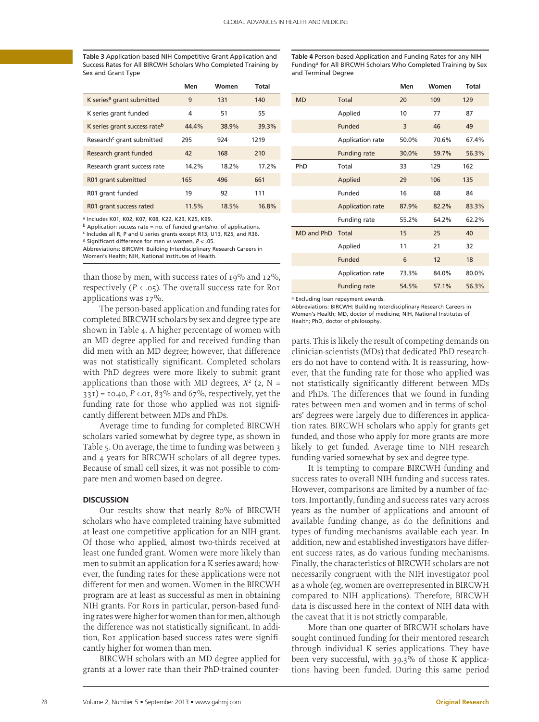**Table 3** Application-based NIH Competitive Grant Application and Success Rates for All BIRCWH Scholars Who Completed Training by Sex and Grant Type

**Men Women Total** K series<sup>a</sup> grant submitted 9 131 140 K series grant funded  $4$  51 55 K series grant success rate<sup>b</sup> 44.4% 38.9% 39.3% Research<sup>c</sup> grant submitted 295 924 1219 Research grant funded 42 168 210 Research grant success rate  $14.2\%$  18.2% 17.2% R01 grant submitted 165 496 661 R01 grant funded 19 92 111 R01 grant success rated 11.5% 18.5% 16.8%

a Includes K01, K02, K07, K08, K22, K23, K25, K99.

 $<sup>b</sup>$  Application success rate = no. of funded grants/no. of applications.</sup>

c Includes all R, P and U series grants except R13, U13, R25, and R36.

d Significant difference for men vs women, *P* < .05.

Abbreviations: BIRCWH: Building Interdisciplinary Research Careers in Women's Health; NIH, National Institutes of Health.

than those by men, with success rates of 19% and 12%, respectively ( $P \leftarrow .05$ ). The overall success rate for R01 applications was 17%.

The person-based application and funding rates for completed BIRCWH scholars by sex and degree type are shown in Table 4. A higher percentage of women with an MD degree applied for and received funding than did men with an MD degree; however, that difference was not statistically significant. Completed scholars with PhD degrees were more likely to submit grant applications than those with MD degrees,  $X^2$  (2, N =  $331$ ) = 10.40, *P* <.01, 83% and 67%, respectively, yet the funding rate for those who applied was not significantly different between MDs and PhDs.

Average time to funding for completed BIRCWH scholars varied somewhat by degree type, as shown in Table 5. On average, the time to funding was between 3 and 4 years for BIRCWH scholars of all degree types. Because of small cell sizes, it was not possible to compare men and women based on degree.

#### **Discussion**

Our results show that nearly 80% of BIRCWH scholars who have completed training have submitted at least one competitive application for an NIH grant. Of those who applied, almost two-thirds received at least one funded grant. Women were more likely than men to submit an application for a K series award; however, the funding rates for these applications were not different for men and women. Women in the BIRCWH program are at least as successful as men in obtaining NIH grants. For R01s in particular, person-based funding rates were higher for women than for men, although the difference was not statistically significant. In addition, R01 application-based success rates were significantly higher for women than men.

BIRCWH scholars with an MD degree applied for grants at a lower rate than their PhD-trained counter-

**Table 4** Person-based Application and Funding Rates for any NIH Funding<sup>a</sup> for All BIRCWH Scholars Who Completed Training by Sex and Terminal Degree

|            |                         | Men   | Women | Total |
|------------|-------------------------|-------|-------|-------|
| <b>MD</b>  | Total                   | 20    | 109   | 129   |
|            | Applied                 | 10    | 77    | 87    |
|            | Funded                  | 3     | 46    | 49    |
|            | Application rate        | 50.0% | 70.6% | 67.4% |
|            | <b>Funding rate</b>     | 30.0% | 59.7% | 56.3% |
| PhD        | Total                   | 33    | 129   | 162   |
|            | Applied                 | 29    | 106   | 135   |
|            | Funded                  | 16    | 68    | 84    |
|            | <b>Application rate</b> | 87.9% | 82.2% | 83.3% |
|            | Funding rate            | 55.2% | 64.2% | 62.2% |
| MD and PhD | Total                   | 15    | 25    | 40    |
|            | Applied                 | 11    | 21    | 32    |
|            | Funded                  | 6     | 12    | 18    |
|            | Application rate        | 73.3% | 84.0% | 80.0% |
|            | <b>Funding rate</b>     | 54.5% | 57.1% | 56.3% |

a Excluding loan repayment awards.

Abbreviations: BIRCWH: Building Interdisciplinary Research Careers in Women's Health; MD, doctor of medicine; NIH, National Institutes of Health; PhD, doctor of philosophy.

parts. This is likely the result of competing demands on clinician-scientists (MDs) that dedicated PhD researchers do not have to contend with. It is reassuring, however, that the funding rate for those who applied was not statistically significantly different between MDs and PhDs. The differences that we found in funding rates between men and women and in terms of scholars' degrees were largely due to differences in application rates. BIRCWH scholars who apply for grants get funded, and those who apply for more grants are more likely to get funded. Average time to NIH research funding varied somewhat by sex and degree type.

It is tempting to compare BIRCWH funding and success rates to overall NIH funding and success rates. However, comparisons are limited by a number of factors. Importantly, funding and success rates vary across years as the number of applications and amount of available funding change, as do the definitions and types of funding mechanisms available each year. In addition, new and established investigators have different success rates, as do various funding mechanisms. Finally, the characteristics of BIRCWH scholars are not necessarily congruent with the NIH investigator pool as a whole (eg, women are overrepresented in BIRCWH compared to NIH applications). Therefore, BIRCWH data is discussed here in the context of NIH data with the caveat that it is not strictly comparable.

More than one quarter of BIRCWH scholars have sought continued funding for their mentored research through individual K series applications. They have been very successful, with 39.3% of those K applications having been funded. During this same period